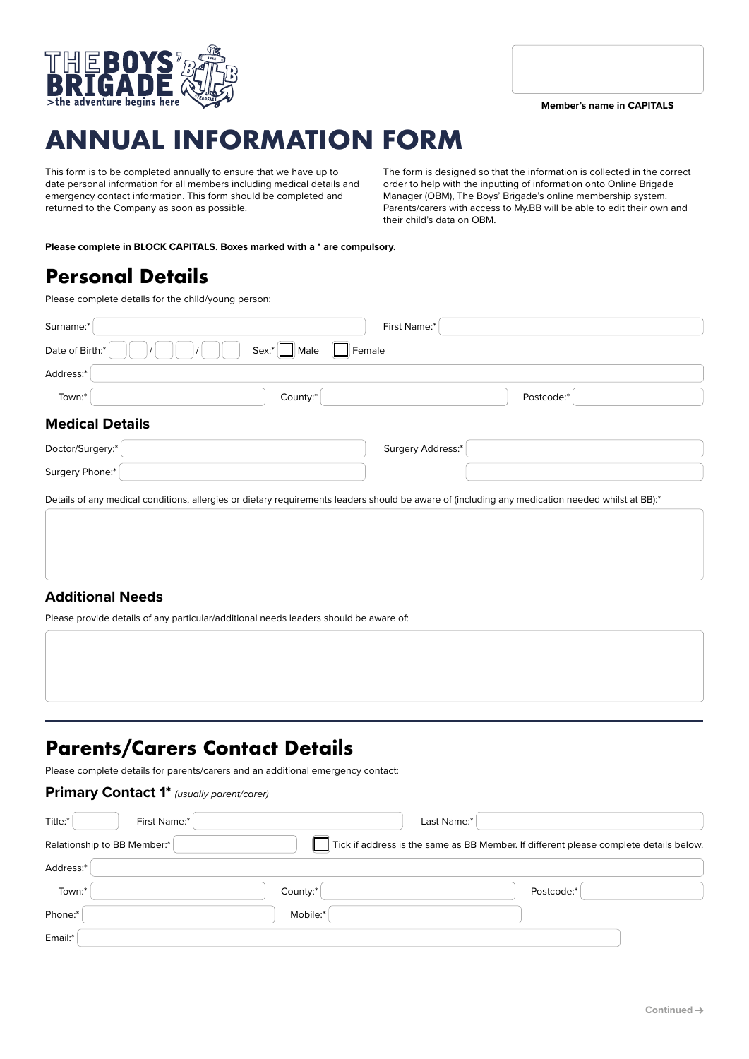

# **ANNUAL INFORMATION FORM**

This form is to be completed annually to ensure that we have up to date personal information for all members including medical details and emergency contact information. This form should be completed and returned to the Company as soon as possible.

The form is designed so that the information is collected in the correct order to help with the inputting of information onto Online Brigade Manager (OBM), The Boys' Brigade's online membership system. Parents/carers with access to My.BB will be able to edit their own and their child's data on OBM.

**Please complete in BLOCK CAPITALS. Boxes marked with a \* are compulsory.**

## **Personal Details**

Please complete details for the child/young person:

| Surname:*                                                                                                                                        | First Name:*           |            |
|--------------------------------------------------------------------------------------------------------------------------------------------------|------------------------|------------|
| Date of Birth:*                                                                                                                                  | Male<br>Female<br>Sex. |            |
| Address:*                                                                                                                                        |                        |            |
| Town:*                                                                                                                                           | County:*               | Postcode:* |
| <b>Medical Details</b>                                                                                                                           |                        |            |
| Doctor/Surgery:*                                                                                                                                 | Surgery Address:*      |            |
| Surgery Phone:*                                                                                                                                  |                        |            |
| Details of any medical conditions, allergies or dietary requirements leaders should be aware of (including any medication needed whilst at BB):* |                        |            |
|                                                                                                                                                  |                        |            |
|                                                                                                                                                  |                        |            |
|                                                                                                                                                  |                        |            |

### **Additional Needs**

Please provide details of any particular/additional needs leaders should be aware of:

# **Parents/Carers Contact Details**

Please complete details for parents/carers and an additional emergency contact:

### **Primary Contact 1\*** *(usually parent/carer)* Title:\* First Name:\* Last Name:\* Relationship to BB Member:  $\blacksquare$  Tick if address is the same as BB Member. If different please complete details below. Address:\* Town:\* Postcode:\* example and the county:\* example and the county:\* example and the county: "  ${\small \textsf{Phone}}: \begin{picture}(10,10) \put(0,0){\dashbox{0.5}(10,0){ }} \put(15,0){\circle{10}} \put(25,0){\circle{10}} \put(25,0){\circle{10}} \put(25,0){\circle{10}} \put(25,0){\circle{10}} \put(25,0){\circle{10}} \put(25,0){\circle{10}} \put(25,0){\circle{10}} \put(25,0){\circle{10}} \put(25,0){\circle{10}} \put(25,0){\circle{10}} \put(25,0){\circle{10}} \put(25,0){\circle{$ Email:\*